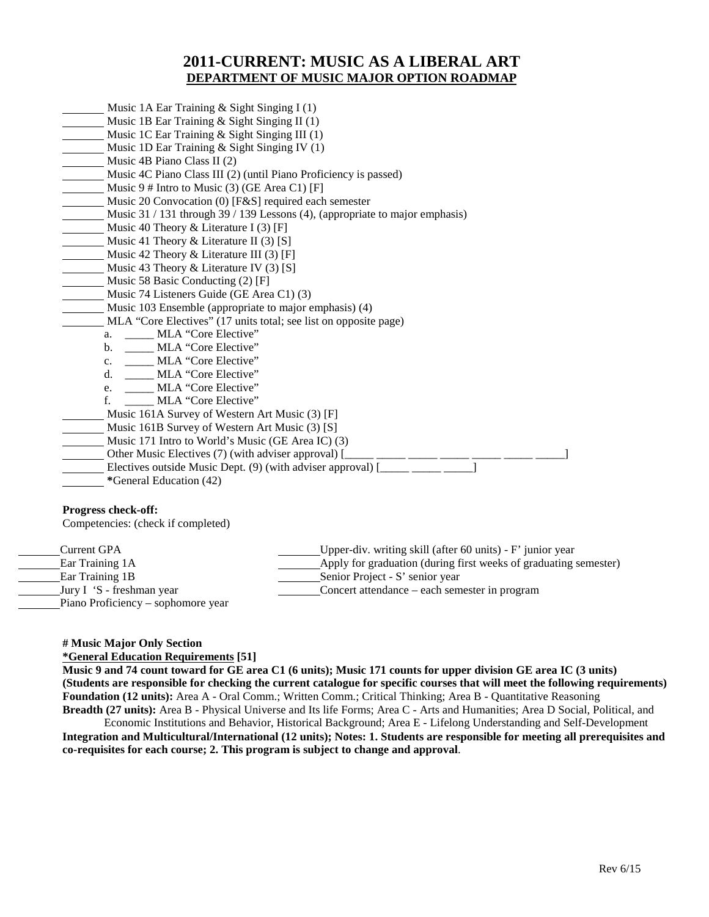# **2011-CURRENT: MUSIC AS A LIBERAL ART DEPARTMENT OF MUSIC MAJOR OPTION ROADMAP**

- Music 1A Ear Training & Sight Singing I (1)
- Music 1B Ear Training & Sight Singing II (1)
- Music 1C Ear Training & Sight Singing III (1)
- Music 1D Ear Training & Sight Singing IV (1)
- Music 4B Piano Class II (2)
- Music 4C Piano Class III (2) (until Piano Proficiency is passed)
- Music 9 # Intro to Music (3) (GE Area C1) [F]
- Music 20 Convocation (0) [F&S] required each semester
- Music 31 / 131 through 39 / 139 Lessons (4), (appropriate to major emphasis)
- Music 40 Theory & Literature I (3) [F]
- Music 41 Theory & Literature II (3) [S]
- Music 42 Theory & Literature III (3) [F]
- Music 43 Theory & Literature IV (3) [S]
- Music 58 Basic Conducting (2) [F]
- Music 74 Listeners Guide (GE Area C1) (3)
- Music 103 Ensemble (appropriate to major emphasis) (4)
- MLA "Core Electives" (17 units total; see list on opposite page)
- a. \_\_\_\_\_ MLA "Core Elective"
	- b. \_\_\_\_\_ MLA "Core Elective"
	- c. \_\_\_\_\_ MLA "Core Elective"
	- d. \_\_\_\_\_ MLA "Core Elective"
	- e. \_\_\_\_\_ MLA "Core Elective"
	- f. \_\_\_\_\_ MLA "Core Elective"
- Music 161A Survey of Western Art Music (3) [F]
- Music 161B Survey of Western Art Music (3) [S]
- Music 171 Intro to World's Music (GE Area IC) (3)
- Other Music Electives (7) (with adviser approval)  $[\_\_\_\_\_\_\_\_\_\_\_\_\_\_\_\_\_\_\_\_\_$
- Electives outside Music Dept. (9) (with adviser approval)  $[\_\_\_\_\_\_\_\_\_\_\_$

**\***General Education (42)

### **Progress check-off:**

Competencies: (check if completed)

| Current GPA                        | Upper-div. writing skill (after 60 units) - F' junior year       |
|------------------------------------|------------------------------------------------------------------|
| Ear Training 1A                    | Apply for graduation (during first weeks of graduating semester) |
| Ear Training 1B                    | Senior Project - S' senior year                                  |
| Jury I 'S - freshman year          | Concert attendance – each semester in program                    |
| Piano Proficiency – sophomore year |                                                                  |

### **# Music Major Only Section**

**\*General Education Requirements [51]**

**Music 9 and 74 count toward for GE area C1 (6 units); Music 171 counts for upper division GE area IC (3 units) (Students are responsible for checking the current catalogue for specific courses that will meet the following requirements) Foundation (12 units):** Area A - Oral Comm.; Written Comm.; Critical Thinking; Area B - Quantitative Reasoning **Breadth (27 units):** Area B - Physical Universe and Its life Forms; Area C - Arts and Humanities; Area D Social, Political, and

Economic Institutions and Behavior, Historical Background; Area E - Lifelong Understanding and Self-Development **Integration and Multicultural/International (12 units); Notes: 1. Students are responsible for meeting all prerequisites and co-requisites for each course; 2. This program is subject to change and approval**.